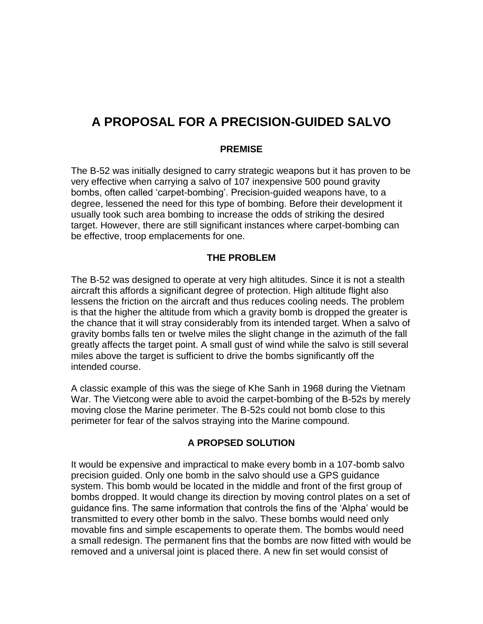# **A PROPOSAL FOR A PRECISION-GUIDED SALVO**

## **PREMISE**

The B-52 was initially designed to carry strategic weapons but it has proven to be very effective when carrying a salvo of 107 inexpensive 500 pound gravity bombs, often called 'carpet-bombing'. Precision-guided weapons have, to a degree, lessened the need for this type of bombing. Before their development it usually took such area bombing to increase the odds of striking the desired target. However, there are still significant instances where carpet-bombing can be effective, troop emplacements for one.

## **THE PROBLEM**

The B-52 was designed to operate at very high altitudes. Since it is not a stealth aircraft this affords a significant degree of protection. High altitude flight also lessens the friction on the aircraft and thus reduces cooling needs. The problem is that the higher the altitude from which a gravity bomb is dropped the greater is the chance that it will stray considerably from its intended target. When a salvo of gravity bombs falls ten or twelve miles the slight change in the azimuth of the fall greatly affects the target point. A small gust of wind while the salvo is still several miles above the target is sufficient to drive the bombs significantly off the intended course.

A classic example of this was the siege of Khe Sanh in 1968 during the Vietnam War. The Vietcong were able to avoid the carpet-bombing of the B-52s by merely moving close the Marine perimeter. The B-52s could not bomb close to this perimeter for fear of the salvos straying into the Marine compound.

## **A PROPSED SOLUTION**

It would be expensive and impractical to make every bomb in a 107-bomb salvo precision guided. Only one bomb in the salvo should use a GPS guidance system. This bomb would be located in the middle and front of the first group of bombs dropped. It would change its direction by moving control plates on a set of guidance fins. The same information that controls the fins of the 'Alpha' would be transmitted to every other bomb in the salvo. These bombs would need only movable fins and simple escapements to operate them. The bombs would need a small redesign. The permanent fins that the bombs are now fitted with would be removed and a universal joint is placed there. A new fin set would consist of